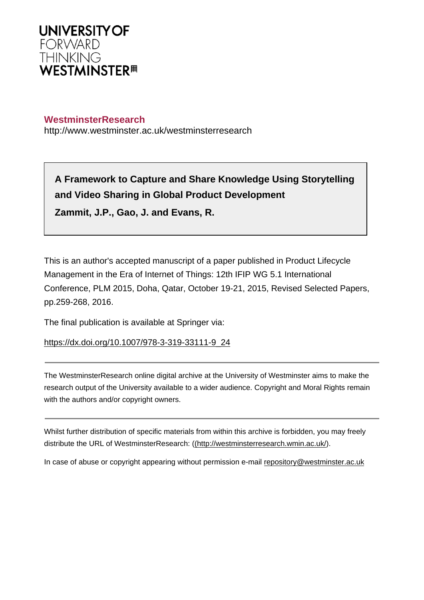

## **WestminsterResearch**

http://www.westminster.ac.uk/westminsterresearch

**A Framework to Capture and Share Knowledge Using Storytelling and Video Sharing in Global Product Development**

**Zammit, J.P., Gao, J. and Evans, R.**

This is an author's accepted manuscript of a paper published in Product Lifecycle Management in the Era of Internet of Things: 12th IFIP WG 5.1 International Conference, PLM 2015, Doha, Qatar, October 19-21, 2015, Revised Selected Papers, pp.259-268, 2016.

The final publication is available at Springer via:

[https://dx.doi.org/10.1007/978-3-319-33111-9\\_24](https://dx.doi.org/10.1007/978-3-319-33111-9_24)

The WestminsterResearch online digital archive at the University of Westminster aims to make the research output of the University available to a wider audience. Copyright and Moral Rights remain with the authors and/or copyright owners.

Whilst further distribution of specific materials from within this archive is forbidden, you may freely distribute the URL of WestminsterResearch: [\(\(http://westminsterresearch.wmin.ac.uk/](http://westminsterresearch.wmin.ac.uk/)).

In case of abuse or copyright appearing without permission e-mail <repository@westminster.ac.uk>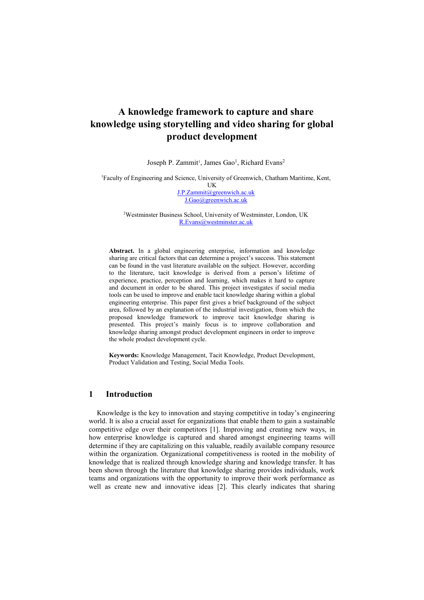# **A knowledge framework to capture and share knowledge using storytelling and video sharing for global product development**

Joseph P. Zammit<sup>1</sup>, James Gao<sup>1</sup>, Richard Evans<sup>2</sup>

<sup>1</sup>Faculty of Engineering and Science, University of Greenwich, Chatham Maritime, Kent, UK

> [J.P.Zammit@greenwich.ac.uk](mailto:J.P.Zammit@greenwich.ac.uk) [J.Gao@greenwich.ac.uk](mailto:J.Gao@greenwich.ac.uk)

<sup>2</sup>Westminster Business School, University of Westminster, London, UK [R.Evans@westminster.ac.uk](mailto:R.Evans@westminster.ac.uk)

**Abstract.** In a global engineering enterprise, information and knowledge sharing are critical factors that can determine a project's success. This statement can be found in the vast literature available on the subject. However, according to the literature, tacit knowledge is derived from a person's lifetime of experience, practice, perception and learning, which makes it hard to capture and document in order to be shared. This project investigates if social media tools can be used to improve and enable tacit knowledge sharing within a global engineering enterprise. This paper first gives a brief background of the subject area, followed by an explanation of the industrial investigation, from which the proposed knowledge framework to improve tacit knowledge sharing is presented. This project's mainly focus is to improve collaboration and knowledge sharing amongst product development engineers in order to improve the whole product development cycle.

**Keywords:** Knowledge Management, Tacit Knowledge, Product Development, Product Validation and Testing, Social Media Tools.

### **1 Introduction**

Knowledge is the key to innovation and staying competitive in today's engineering world. It is also a crucial asset for organizations that enable them to gain a sustainable competitive edge over their competitors [\[1\]](#page-8-0). Improving and creating new ways, in how enterprise knowledge is captured and shared amongst engineering teams will determine if they are capitalizing on this valuable, readily available company resource within the organization. Organizational competitiveness is rooted in the mobility of knowledge that is realized through knowledge sharing and knowledge transfer. It has been shown through the literature that knowledge sharing provides individuals, work teams and organizations with the opportunity to improve their work performance as well as create new and innovative ideas [\[2\]](#page-8-1). This clearly indicates that sharing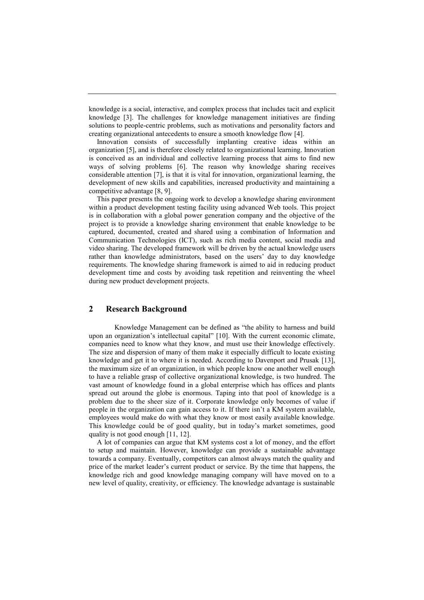knowledge is a social, interactive, and complex process that includes tacit and explicit knowledge [\[3\]](#page-8-2). The challenges for knowledge management initiatives are finding solutions to people-centric problems, such as motivations and personality factors and creating organizational antecedents to ensure a smooth knowledge flow [\[4\]](#page-8-3).

Innovation consists of successfully implanting creative ideas within an organization [\[5\]](#page-8-4), and is therefore closely related to organizational learning. Innovation is conceived as an individual and collective learning process that aims to find new ways of solving problems [\[6\]](#page-8-5). The reason why knowledge sharing receives considerable attention [\[7\]](#page-8-6), is that it is vital for innovation, organizational learning, the development of new skills and capabilities, increased productivity and maintaining a competitive advantage [\[8,](#page-9-0) [9\]](#page-9-1).

This paper presents the ongoing work to develop a knowledge sharing environment within a product development testing facility using advanced Web tools. This project is in collaboration with a global power generation company and the objective of the project is to provide a knowledge sharing environment that enable knowledge to be captured, documented, created and shared using a combination of Information and Communication Technologies (ICT), such as rich media content, social media and video sharing. The developed framework will be driven by the actual knowledge users rather than knowledge administrators, based on the users' day to day knowledge requirements. The knowledge sharing framework is aimed to aid in reducing product development time and costs by avoiding task repetition and reinventing the wheel during new product development projects.

### **2 Research Background**

Knowledge Management can be defined as "the ability to harness and build upon an organization's intellectual capital" [\[10\]](#page-9-2). With the current economic climate, companies need to know what they know, and must use their knowledge effectively. The size and dispersion of many of them make it especially difficult to locate existing knowledge and get it to where it is needed. According to Davenport and Prusak [13], the maximum size of an organization, in which people know one another well enough to have a reliable grasp of collective organizational knowledge, is two hundred. The vast amount of knowledge found in a global enterprise which has offices and plants spread out around the globe is enormous. Taping into that pool of knowledge is a problem due to the sheer size of it. Corporate knowledge only becomes of value if people in the organization can gain access to it. If there isn't a KM system available, employees would make do with what they know or most easily available knowledge. This knowledge could be of good quality, but in today's market sometimes, good quality is not good enough [\[11,](#page-9-3) [12\]](#page-9-4).

A lot of companies can argue that KM systems cost a lot of money, and the effort to setup and maintain. However, knowledge can provide a sustainable advantage towards a company. Eventually, competitors can almost always match the quality and price of the market leader's current product or service. By the time that happens, the knowledge rich and good knowledge managing company will have moved on to a new level of quality, creativity, or efficiency. The knowledge advantage is sustainable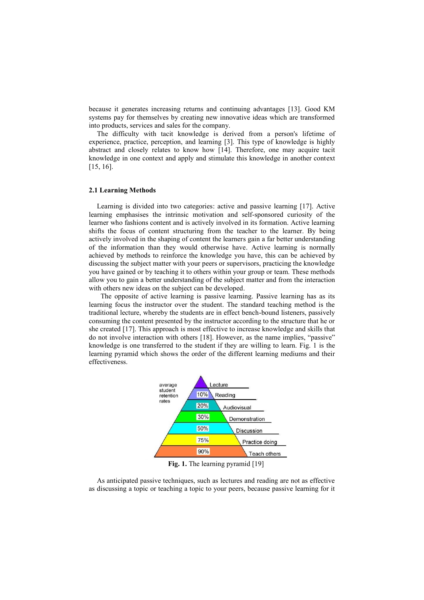because it generates increasing returns and continuing advantages [\[13\]](#page-9-5). Good KM systems pay for themselves by creating new innovative ideas which are transformed into products, services and sales for the company.

The difficulty with tacit knowledge is derived from a person's lifetime of experience, practice, perception, and learning [\[3\]](#page-8-2). This type of knowledge is highly abstract and closely relates to know how [\[14\]](#page-9-6). Therefore, one may acquire tacit knowledge in one context and apply and stimulate this knowledge in another context [\[15,](#page-9-7) [16\]](#page-9-8).

### **2.1 Learning Methods**

Learning is divided into two categories: active and passive learning [17]. Active learning emphasises the intrinsic motivation and self-sponsored curiosity of the learner who fashions content and is actively involved in its formation. Active learning shifts the focus of content structuring from the teacher to the learner. By being actively involved in the shaping of content the learners gain a far better understanding of the information than they would otherwise have. Active learning is normally achieved by methods to reinforce the knowledge you have, this can be achieved by discussing the subject matter with your peers or supervisors, practicing the knowledge you have gained or by teaching it to others within your group or team. These methods allow you to gain a better understanding of the subject matter and from the interaction with others new ideas on the subject can be developed.

The opposite of active learning is passive learning. Passive learning has as its learning focus the instructor over the student. The standard teaching method is the traditional lecture, whereby the students are in effect bench-bound listeners, passively consuming the content presented by the instructor according to the structure that he or she created [\[17\]](#page-9-9). This approach is most effective to increase knowledge and skills that do not involve interaction with others [\[18\]](#page-9-10). However, as the name implies, "passive" knowledge is one transferred to the student if they are willing to learn. Fig. 1 is the learning pyramid which shows the order of the different learning mediums and their effectiveness.



**Fig. 1.** The learning pyramid [\[19\]](#page-9-11)

As anticipated passive techniques, such as lectures and reading are not as effective as discussing a topic or teaching a topic to your peers, because passive learning for it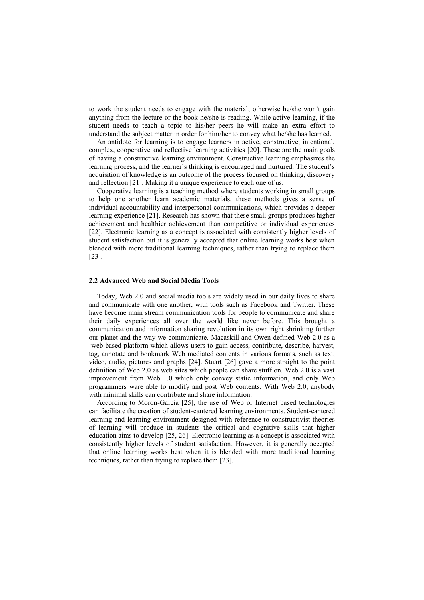to work the student needs to engage with the material, otherwise he/she won't gain anything from the lecture or the book he/she is reading. While active learning, if the student needs to teach a topic to his/her peers he will make an extra effort to understand the subject matter in order for him/her to convey what he/she has learned.

An antidote for learning is to engage learners in active, constructive, intentional, complex, cooperative and reflective learning activities [\[20\]](#page-9-12). These are the main goals of having a constructive learning environment. Constructive learning emphasizes the learning process, and the learner's thinking is encouraged and nurtured. The student's acquisition of knowledge is an outcome of the process focused on thinking, discovery and reflection [\[21\]](#page-9-13). Making it a unique experience to each one of us.

Cooperative learning is a teaching method where students working in small groups to help one another learn academic materials, these methods gives a sense of individual accountability and interpersonal communications, which provides a deeper learning experience [\[21\]](#page-9-13). Research has shown that these small groups produces higher achievement and healthier achievement than competitive or individual experiences [\[22\]](#page-9-14). Electronic learning as a concept is associated with consistently higher levels of student satisfaction but it is generally accepted that online learning works best when blended with more traditional learning techniques, rather than trying to replace them [\[23\]](#page-9-15).

#### **2.2 Advanced Web and Social Media Tools**

Today, Web 2.0 and social media tools are widely used in our daily lives to share and communicate with one another, with tools such as Facebook and Twitter. These have become main stream communication tools for people to communicate and share their daily experiences all over the world like never before. This brought a communication and information sharing revolution in its own right shrinking further our planet and the way we communicate. Macaskill and Owen defined Web 2.0 as a 'web-based platform which allows users to gain access, contribute, describe, harvest, tag, annotate and bookmark Web mediated contents in various formats, such as text, video, audio, pictures and graphs [\[24\]](#page-9-16). Stuart [26] gave a more straight to the point definition of Web 2.0 as web sites which people can share stuff on. Web 2.0 is a vast improvement from Web 1.0 which only convey static information, and only Web programmers ware able to modify and post Web contents. With Web 2.0, anybody with minimal skills can contribute and share information.

According to Moron-Garcia [\[25\]](#page-9-17), the use of Web or Internet based technologies can facilitate the creation of student-cantered learning environments. Student-cantered learning and learning environment designed with reference to constructivist theories of learning will produce in students the critical and cognitive skills that higher education aims to develop [\[25,](#page-9-17) [26\]](#page-10-0). Electronic learning as a concept is associated with consistently higher levels of student satisfaction. However, it is generally accepted that online learning works best when it is blended with more traditional learning techniques, rather than trying to replace them [\[23\]](#page-9-15).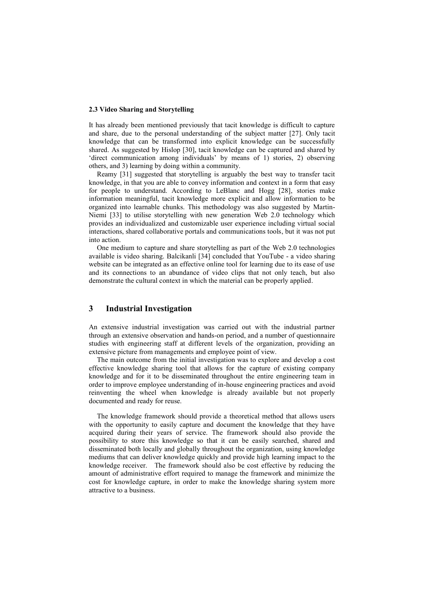#### **2.3 Video Sharing and Storytelling**

It has already been mentioned previously that tacit knowledge is difficult to capture and share, due to the personal understanding of the subject matter [\[27\]](#page-10-1). Only tacit knowledge that can be transformed into explicit knowledge can be successfully shared. As suggested by Hislop [30], tacit knowledge can be captured and shared by 'direct communication among individuals' by means of 1) stories, 2) observing others, and 3) learning by doing within a community.

Reamy [31] suggested that storytelling is arguably the best way to transfer tacit knowledge, in that you are able to convey information and context in a form that easy for people to understand. According to [LeBlanc and Hogg \[28\],](#page-10-2) stories make information meaningful, tacit knowledge more explicit and allow information to be organized into learnable chunks. This methodology was also suggested by Martin-Niemi [33] to utilise storytelling with new generation Web 2.0 technology which provides an individualized and customizable user experience including virtual social interactions, shared collaborative portals and communications tools, but it was not put into action.

One medium to capture and share storytelling as part of the Web 2.0 technologies available is video sharing. Balcikanli [34] concluded that YouTube - a video sharing website can be integrated as an effective online tool for learning due to its ease of use and its connections to an abundance of video clips that not only teach, but also demonstrate the cultural context in which the material can be properly applied.

### **3 Industrial Investigation**

An extensive industrial investigation was carried out with the industrial partner through an extensive observation and hands-on period, and a number of questionnaire studies with engineering staff at different levels of the organization, providing an extensive picture from managements and employee point of view.

The main outcome from the initial investigation was to explore and develop a cost effective knowledge sharing tool that allows for the capture of existing company knowledge and for it to be disseminated throughout the entire engineering team in order to improve employee understanding of in-house engineering practices and avoid reinventing the wheel when knowledge is already available but not properly documented and ready for reuse.

The knowledge framework should provide a theoretical method that allows users with the opportunity to easily capture and document the knowledge that they have acquired during their years of service. The framework should also provide the possibility to store this knowledge so that it can be easily searched, shared and disseminated both locally and globally throughout the organization, using knowledge mediums that can deliver knowledge quickly and provide high learning impact to the knowledge receiver. The framework should also be cost effective by reducing the amount of administrative effort required to manage the framework and minimize the cost for knowledge capture, in order to make the knowledge sharing system more attractive to a business.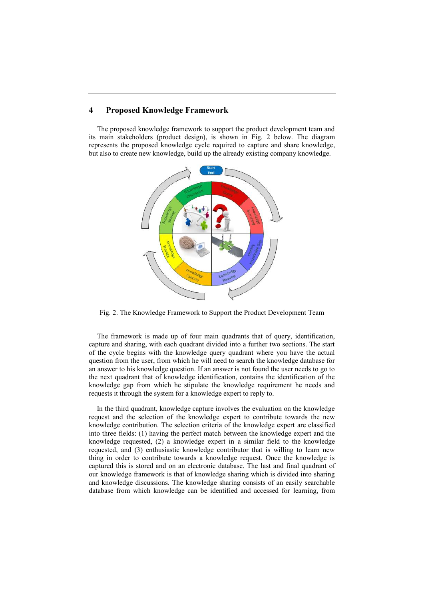### **4 Proposed Knowledge Framework**

The proposed knowledge framework to support the product development team and its main stakeholders (product design), is shown in Fig. 2 below. The diagram represents the proposed knowledge cycle required to capture and share knowledge, but also to create new knowledge, build up the already existing company knowledge.



Fig. 2. The Knowledge Framework to Support the Product Development Team

The framework is made up of four main quadrants that of query, identification, capture and sharing, with each quadrant divided into a further two sections. The start of the cycle begins with the knowledge query quadrant where you have the actual question from the user, from which he will need to search the knowledge database for an answer to his knowledge question. If an answer is not found the user needs to go to the next quadrant that of knowledge identification, contains the identification of the knowledge gap from which he stipulate the knowledge requirement he needs and requests it through the system for a knowledge expert to reply to.

In the third quadrant, knowledge capture involves the evaluation on the knowledge request and the selection of the knowledge expert to contribute towards the new knowledge contribution. The selection criteria of the knowledge expert are classified into three fields: (1) having the perfect match between the knowledge expert and the knowledge requested, (2) a knowledge expert in a similar field to the knowledge requested, and (3) enthusiastic knowledge contributor that is willing to learn new thing in order to contribute towards a knowledge request. Once the knowledge is captured this is stored and on an electronic database. The last and final quadrant of our knowledge framework is that of knowledge sharing which is divided into sharing and knowledge discussions. The knowledge sharing consists of an easily searchable database from which knowledge can be identified and accessed for learning, from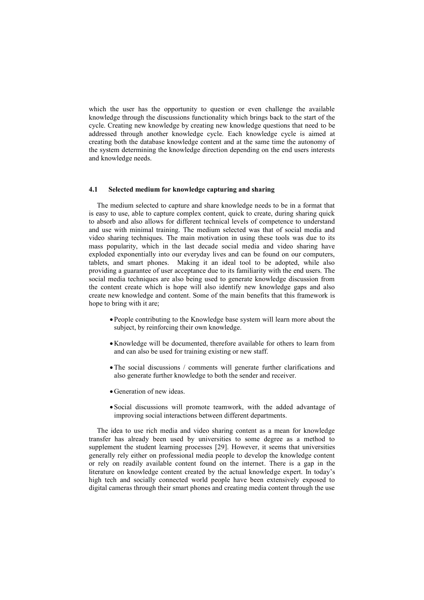which the user has the opportunity to question or even challenge the available knowledge through the discussions functionality which brings back to the start of the cycle. Creating new knowledge by creating new knowledge questions that need to be addressed through another knowledge cycle. Each knowledge cycle is aimed at creating both the database knowledge content and at the same time the autonomy of the system determining the knowledge direction depending on the end users interests and knowledge needs.

#### **4.1 Selected medium for knowledge capturing and sharing**

The medium selected to capture and share knowledge needs to be in a format that is easy to use, able to capture complex content, quick to create, during sharing quick to absorb and also allows for different technical levels of competence to understand and use with minimal training. The medium selected was that of social media and video sharing techniques. The main motivation in using these tools was due to its mass popularity, which in the last decade social media and video sharing have exploded exponentially into our everyday lives and can be found on our computers, tablets, and smart phones. Making it an ideal tool to be adopted, while also providing a guarantee of user acceptance due to its familiarity with the end users. The social media techniques are also being used to generate knowledge discussion from the content create which is hope will also identify new knowledge gaps and also create new knowledge and content. Some of the main benefits that this framework is hope to bring with it are;

- People contributing to the Knowledge base system will learn more about the subject, by reinforcing their own knowledge.
- Knowledge will be documented, therefore available for others to learn from and can also be used for training existing or new staff.
- The social discussions / comments will generate further clarifications and also generate further knowledge to both the sender and receiver.
- Generation of new ideas.
- Social discussions will promote teamwork, with the added advantage of improving social interactions between different departments.

The idea to use rich media and video sharing content as a mean for knowledge transfer has already been used by universities to some degree as a method to supplement the student learning processes [\[29\]](#page-10-3). However, it seems that universities generally rely either on professional media people to develop the knowledge content or rely on readily available content found on the internet. There is a gap in the literature on knowledge content created by the actual knowledge expert. In today's high tech and socially connected world people have been extensively exposed to digital cameras through their smart phones and creating media content through the use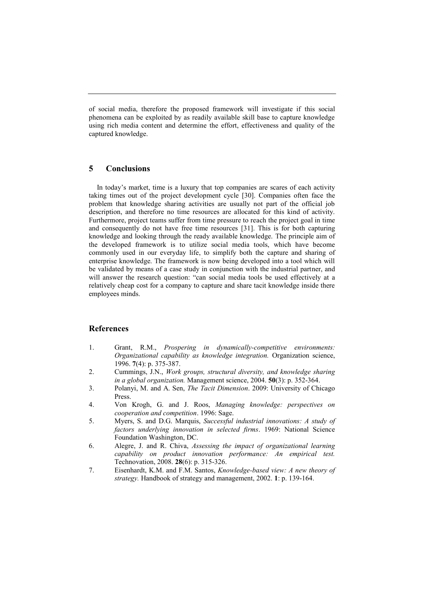of social media, therefore the proposed framework will investigate if this social phenomena can be exploited by as readily available skill base to capture knowledge using rich media content and determine the effort, effectiveness and quality of the captured knowledge.

### **5 Conclusions**

In today's market, time is a luxury that top companies are scares of each activity taking times out of the project development cycle [\[30\]](#page-10-4). Companies often face the problem that knowledge sharing activities are usually not part of the official job description, and therefore no time resources are allocated for this kind of activity. Furthermore, project teams suffer from time pressure to reach the project goal in time and consequently do not have free time resources [\[31\]](#page-10-5). This is for both capturing knowledge and looking through the ready available knowledge. The principle aim of the developed framework is to utilize social media tools, which have become commonly used in our everyday life, to simplify both the capture and sharing of enterprise knowledge. The framework is now being developed into a tool which will be validated by means of a case study in conjunction with the industrial partner, and will answer the research question: "can social media tools be used effectively at a relatively cheap cost for a company to capture and share tacit knowledge inside there employees minds.

### **References**

- <span id="page-8-0"></span>1. Grant, R.M., *Prospering in dynamically-competitive environments: Organizational capability as knowledge integration.* Organization science, 1996. **7**(4): p. 375-387.
- <span id="page-8-1"></span>2. Cummings, J.N., *Work groups, structural diversity, and knowledge sharing in a global organization.* Management science, 2004. **50**(3): p. 352-364.
- <span id="page-8-2"></span>3. Polanyi, M. and A. Sen, *The Tacit Dimension*. 2009: University of Chicago Press.
- <span id="page-8-3"></span>4. Von Krogh, G. and J. Roos, *Managing knowledge: perspectives on cooperation and competition*. 1996: Sage.
- <span id="page-8-4"></span>5. Myers, S. and D.G. Marquis, *Successful industrial innovations: A study of factors underlying innovation in selected firms*. 1969: National Science Foundation Washington, DC.
- <span id="page-8-5"></span>6. Alegre, J. and R. Chiva, *Assessing the impact of organizational learning capability on product innovation performance: An empirical test.* Technovation, 2008. **28**(6): p. 315-326.
- <span id="page-8-6"></span>7. Eisenhardt, K.M. and F.M. Santos, *Knowledge-based view: A new theory of strategy.* Handbook of strategy and management, 2002. **1**: p. 139-164.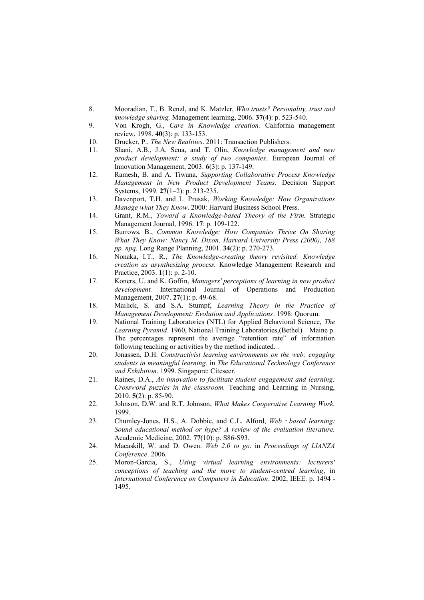- <span id="page-9-0"></span>8. Mooradian, T., B. Renzl, and K. Matzler, *Who trusts? Personality, trust and knowledge sharing.* Management learning, 2006. **37**(4): p. 523-540.
- <span id="page-9-1"></span>9. Von Krogh, G., *Care in Knowledge creation.* California management review, 1998. **40**(3): p. 133-153.
- <span id="page-9-2"></span>10. Drucker, P., *The New Realities*. 2011: Transaction Publishers.
- <span id="page-9-3"></span>11. Shani, A.B., J.A. Sena, and T. Olin, *Knowledge management and new product development: a study of two companies.* European Journal of Innovation Management, 2003. **6**(3): p. 137-149.
- <span id="page-9-4"></span>12. Ramesh, B. and A. Tiwana, *Supporting Collaborative Process Knowledge Management in New Product Development Teams.* Decision Support Systems, 1999. **27**(1–2): p. 213-235.
- <span id="page-9-5"></span>13. Davenport, T.H. and L. Prusak, *Working Knowledge: How Organizations Manage what They Know*. 2000: Harvard Business School Press.
- <span id="page-9-6"></span>14. Grant, R.M., *Toward a Knowledge-based Theory of the Firm.* Strategic Management Journal, 1996. **17**: p. 109-122.
- <span id="page-9-7"></span>15. Burrows, B., *Common Knowledge: How Companies Thrive On Sharing What They Know: Nancy M. Dixon, Harvard University Press (2000), 188 pp. npq.* Long Range Planning, 2001. **34**(2): p. 270-273.
- <span id="page-9-8"></span>16. Nonaka, I.T., R., *The Knowledge-creating theory revisited: Knowledge creation as asynthesizing process.* Knowledge Management Research and Practice, 2003. **1**(1): p. 2-10.
- <span id="page-9-9"></span>17. Koners, U. and K. Goffin, *Managers' perceptions of learning in new product development.* International Journal of Operations and Production Management, 2007. **27**(1): p. 49-68.
- <span id="page-9-10"></span>18. Mailick, S. and S.A. Stumpf, *Learning Theory in the Practice of Management Development: Evolution and Applications*. 1998: Quorum.
- <span id="page-9-11"></span>19. National Training Laboratories (NTL) for Applied Behavioral Science, *The Learning Pyramid*. 1960, National Training Laboratories,(Bethel) Maine p. The percentages represent the average "retention rate" of information following teaching or activities by the method indicated. .
- <span id="page-9-12"></span>20. Jonassen, D.H. *Constructivist learning environments on the web: engaging students in meaningful learning*. in *The Educational Technology Conference and Exhibition*. 1999. Singapore: Citeseer.
- <span id="page-9-13"></span>21. Raines, D.A., *An innovation to facilitate student engagement and learning: Crossword puzzles in the classroom.* Teaching and Learning in Nursing, 2010. **5**(2): p. 85-90.
- <span id="page-9-14"></span>22. Johnson, D.W. and R.T. Johnson, *What Makes Cooperative Learning Work.* 1999.
- <span id="page-9-15"></span>23. Chumley-Jones, H.S., A. Dobbie, and C.L. Alford, Web - based learning: *Sound educational method or hype? A review of the evaluation literature.* Academic Medicine, 2002. **77**(10): p. S86-S93.
- <span id="page-9-16"></span>24. Macaskill, W. and D. Owen. *Web 2.0 to go*. in *Proceedings of LIANZA Conference*. 2006.
- <span id="page-9-17"></span>25. Moron-Garcia, S., *Using virtual learning environments: lecturers' conceptions of teaching and the move to student-centred learning*, in *International Conference on Computers in Education*. 2002, IEEE. p. 1494 - 1495.